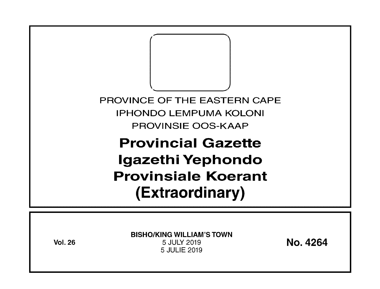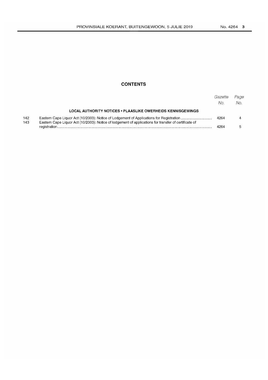# **CONTENTS**

|            |                                                                                                       | Gazette<br>No. | Page<br>No. |
|------------|-------------------------------------------------------------------------------------------------------|----------------|-------------|
|            | LOCAL AUTHORITY NOTICES . PLAASLIKE OWERHEIDS KENNISGEWINGS                                           |                |             |
| 142<br>143 | Eastern Cape Liquor Act (10/2003): Notice of lodgement of applications for transfer of certificate of | 4264           |             |
|            |                                                                                                       |                |             |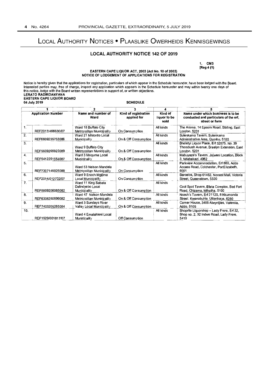# LOCAL AUTHORITY NOTICES • PLAASLIKE OWERHEIDS KENNISGEWINGS

# LOCAL AUTHORITY NOTICE 142 OF 2019

1. CM3 [Reg 4 (1)

#### EASTERN CAPE LIQUOR ACT, 2003 (Act No. 10 of 2003)<br>NOTICE OF LODGEMENT OF APPLICATIONS FOR REGISTRATION NOTICE OF LODGEMENT OF APPLICATIONS FOR REGISTRATION

Notice is hereby given that the applications for registration, particulars of which appear in the Schedule hereunder, have been lodged with the Board. Interested parties may, free of charge, inspect any application which appears in the Schedule hereunder and may within twenty one days of this notice, lodge with the Board written representations in support of, or written objections. LERATO RADIKOANYANA EASTERN CAPE LIQUOR BOARD 04 July 2019 SCHEDULE<br>
1 2<br>
Application Number Name and number of Kind of registrat

| <b>Application Number</b> |                   |                                                         |                                     |                                 | Name under which business is to be<br>conducted and particulars of the erf,<br>street or farm        |  |
|---------------------------|-------------------|---------------------------------------------------------|-------------------------------------|---------------------------------|------------------------------------------------------------------------------------------------------|--|
|                           |                   | Name and number of<br>Ward                              | Kind of registration<br>applied for | Kind of<br>liquor to be<br>sold |                                                                                                      |  |
| 1.                        | REF2017/466630/07 | Ward 18 Buffalo City<br>Metropolitan Municipality       | On Consumption                      | All kinds                       | The Aroma, 14 Epsom Road, Stirling, East<br>London, 5201                                             |  |
| 2.                        | REF6609235753086  | Ward 21 Mhiontlo Local<br>Municipality                  | On & Off Consumption                | All kinds                       | Sulenkama Tavern, Sulenkama<br>Administrative Area, Qumbu, 5180                                      |  |
| 3.                        | REF5609265923089  | Ward 9 Buffalo City<br>Metropolitan Municipality        | On & Off Consumption                | All kinds                       | Bheletyi Liquor Place, Erf 32875, No. 39<br>Thombush Avenue, Braelyn Extension, East<br>London, 5201 |  |
| 4.                        | REF5412251554087  | Ward 3 Mnguma Local<br><b>Municipality</b>              | On & Off Consumption                | All kinds                       | Mabuyaze's Tavem, Jojweni Location, Block<br>3. Ndabakazi, 4962                                      |  |
| 5.                        | REF7307145025088  | Ward 53 Nelson Mandela<br>Metropolitan Municipality     | On Consumption                      | All kinds                       | Parkview Accommodation, Erf 880, Addo<br>Access Road, Colchester, PortElizabeth,<br>6001             |  |
| 6.                        | REF2014/012732/07 | Ward 9 Enoch Mgijima<br>Local Municipality              | On Consumption                      | All kinds                       | Barcelos, Shop 61462, Nonest Mail, Victoria<br>Street, Queenstown, 5320                              |  |
| 7.                        | REF8809206085082  | Ward 11 King Sabata<br>Dalindyebo Local<br>Municipality | On & Off Consumption                | All kinds                       | Cool Spot Tavern, Efata Complex, Bed Fort<br>Road, Chizama, Mthatha, 5100                            |  |
| 8.                        | REF6308250599082  | Ward 47 Nelson Mandela<br>Metropolitan Municipality     | On & Off Consumption                | All kinds                       | Ncesh's Tavem, Erf 21120, 8 Nkumanda<br>Street, Kwanobuhle, Uitenhage, 6280                          |  |
| 9.                        | REF7403205265084  | Ward 3 Sundays River<br>Valley Local Municipality       | On & Off Consumption                | All kinds                       | Corner House, 3406 Alwyntiies, Valencia,<br>Addo, 6105                                               |  |
| 10.                       | REF1929/001817/07 | Ward 4 Emalahleni Local<br><b>Municipality</b>          | Off Consumption                     | All kinds                       | Shopnite Liquorshop - Lady Frere, Erf 32,<br>Shop no. 2, 32 Indwe Road, Lady Frere,<br>5410          |  |